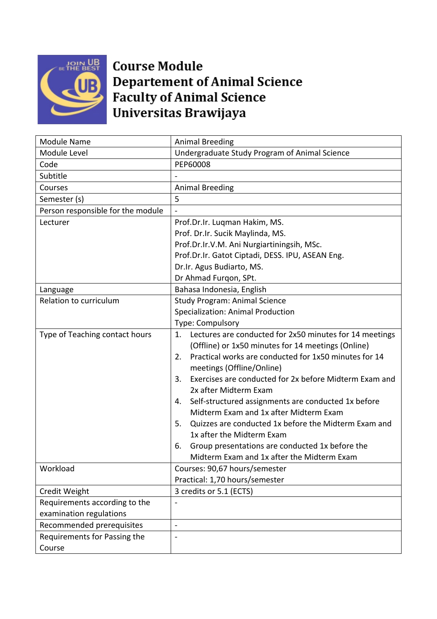

## **Course Module Departement of Animal Science Faculty of Animal Science** Universitas Brawijaya

| <b>Module Name</b>                | <b>Animal Breeding</b>                                                                                                                                                                                                                                                                                                                                                                                                                                                                                                                                                                                            |
|-----------------------------------|-------------------------------------------------------------------------------------------------------------------------------------------------------------------------------------------------------------------------------------------------------------------------------------------------------------------------------------------------------------------------------------------------------------------------------------------------------------------------------------------------------------------------------------------------------------------------------------------------------------------|
| Module Level                      | Undergraduate Study Program of Animal Science                                                                                                                                                                                                                                                                                                                                                                                                                                                                                                                                                                     |
| Code                              | PEP60008                                                                                                                                                                                                                                                                                                                                                                                                                                                                                                                                                                                                          |
| Subtitle                          |                                                                                                                                                                                                                                                                                                                                                                                                                                                                                                                                                                                                                   |
| Courses                           | <b>Animal Breeding</b>                                                                                                                                                                                                                                                                                                                                                                                                                                                                                                                                                                                            |
| Semester (s)                      | 5                                                                                                                                                                                                                                                                                                                                                                                                                                                                                                                                                                                                                 |
| Person responsible for the module |                                                                                                                                                                                                                                                                                                                                                                                                                                                                                                                                                                                                                   |
| Lecturer                          | Prof.Dr.Ir. Luqman Hakim, MS.                                                                                                                                                                                                                                                                                                                                                                                                                                                                                                                                                                                     |
|                                   | Prof. Dr.Ir. Sucik Maylinda, MS.                                                                                                                                                                                                                                                                                                                                                                                                                                                                                                                                                                                  |
|                                   | Prof.Dr.Ir.V.M. Ani Nurgiartiningsih, MSc.                                                                                                                                                                                                                                                                                                                                                                                                                                                                                                                                                                        |
|                                   | Prof.Dr.Ir. Gatot Ciptadi, DESS. IPU, ASEAN Eng.                                                                                                                                                                                                                                                                                                                                                                                                                                                                                                                                                                  |
|                                   | Dr.Ir. Agus Budiarto, MS.                                                                                                                                                                                                                                                                                                                                                                                                                                                                                                                                                                                         |
|                                   | Dr Ahmad Furgon, SPt.                                                                                                                                                                                                                                                                                                                                                                                                                                                                                                                                                                                             |
| Language                          | Bahasa Indonesia, English                                                                                                                                                                                                                                                                                                                                                                                                                                                                                                                                                                                         |
| Relation to curriculum            | <b>Study Program: Animal Science</b>                                                                                                                                                                                                                                                                                                                                                                                                                                                                                                                                                                              |
|                                   | Specialization: Animal Production                                                                                                                                                                                                                                                                                                                                                                                                                                                                                                                                                                                 |
|                                   | Type: Compulsory                                                                                                                                                                                                                                                                                                                                                                                                                                                                                                                                                                                                  |
| Type of Teaching contact hours    | Lectures are conducted for 2x50 minutes for 14 meetings<br>1.<br>(Offline) or 1x50 minutes for 14 meetings (Online)<br>Practical works are conducted for 1x50 minutes for 14<br>2.<br>meetings (Offline/Online)<br>Exercises are conducted for 2x before Midterm Exam and<br>3.<br>2x after Midterm Exam<br>Self-structured assignments are conducted 1x before<br>4.<br>Midterm Exam and 1x after Midterm Exam<br>Quizzes are conducted 1x before the Midterm Exam and<br>5.<br>1x after the Midterm Exam<br>Group presentations are conducted 1x before the<br>6.<br>Midterm Exam and 1x after the Midterm Exam |
| Workload                          | Courses: 90,67 hours/semester                                                                                                                                                                                                                                                                                                                                                                                                                                                                                                                                                                                     |
|                                   | Practical: 1,70 hours/semester                                                                                                                                                                                                                                                                                                                                                                                                                                                                                                                                                                                    |
| Credit Weight                     | 3 credits or 5.1 (ECTS)                                                                                                                                                                                                                                                                                                                                                                                                                                                                                                                                                                                           |
| Requirements according to the     | $\overline{\phantom{a}}$                                                                                                                                                                                                                                                                                                                                                                                                                                                                                                                                                                                          |
| examination regulations           |                                                                                                                                                                                                                                                                                                                                                                                                                                                                                                                                                                                                                   |
| Recommended prerequisites         | $\overline{\phantom{a}}$                                                                                                                                                                                                                                                                                                                                                                                                                                                                                                                                                                                          |
| Requirements for Passing the      | $\blacksquare$                                                                                                                                                                                                                                                                                                                                                                                                                                                                                                                                                                                                    |
| Course                            |                                                                                                                                                                                                                                                                                                                                                                                                                                                                                                                                                                                                                   |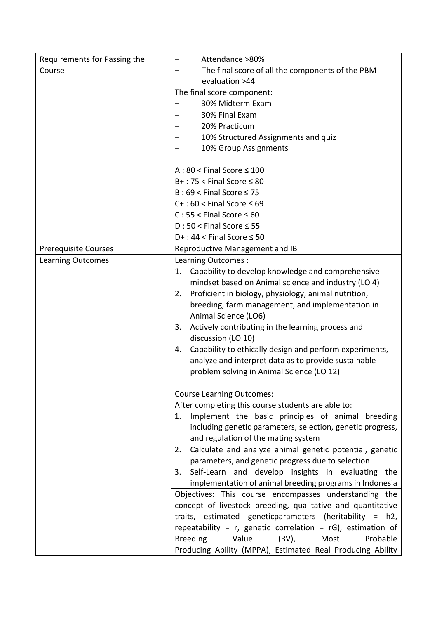| Requirements for Passing the | Attendance >80%                                                   |
|------------------------------|-------------------------------------------------------------------|
| Course                       | The final score of all the components of the PBM                  |
|                              | evaluation >44                                                    |
|                              | The final score component:                                        |
|                              | 30% Midterm Exam                                                  |
|                              | 30% Final Exam                                                    |
|                              | 20% Practicum                                                     |
|                              | 10% Structured Assignments and quiz                               |
|                              | 10% Group Assignments                                             |
|                              |                                                                   |
|                              | $A:80 <$ Final Score $\leq 100$                                   |
|                              | $B+$ : 75 < Final Score $\leq 80$                                 |
|                              | $B:69 <$ Final Score $\leq 75$                                    |
|                              | $C+$ : 60 < Final Score $\leq 69$                                 |
|                              | $C: 55 <$ Final Score $\leq 60$                                   |
|                              | $D:50 <$ Final Score $\leq 55$                                    |
|                              | $D+$ : 44 < Final Score $\leq$ 50                                 |
| <b>Prerequisite Courses</b>  | Reproductive Management and IB                                    |
| <b>Learning Outcomes</b>     | Learning Outcomes :                                               |
|                              | Capability to develop knowledge and comprehensive<br>1.           |
|                              | mindset based on Animal science and industry (LO 4)               |
|                              | Proficient in biology, physiology, animal nutrition,<br>2.        |
|                              | breeding, farm management, and implementation in                  |
|                              | Animal Science (LO6)                                              |
|                              | Actively contributing in the learning process and<br>3.           |
|                              | discussion (LO 10)                                                |
|                              | Capability to ethically design and perform experiments,<br>4.     |
|                              | analyze and interpret data as to provide sustainable              |
|                              | problem solving in Animal Science (LO 12)                         |
|                              |                                                                   |
|                              | <b>Course Learning Outcomes:</b>                                  |
|                              | After completing this course students are able to:                |
|                              | Implement the basic principles of animal breeding<br>1.           |
|                              | including genetic parameters, selection, genetic progress,        |
|                              | and regulation of the mating system                               |
|                              | 2. Calculate and analyze animal genetic potential, genetic        |
|                              | parameters, and genetic progress due to selection                 |
|                              | 3. Self-Learn and develop insights in evaluating the              |
|                              | implementation of animal breeding programs in Indonesia           |
|                              | Objectives: This course encompasses understanding the             |
|                              | concept of livestock breeding, qualitative and quantitative       |
|                              | traits, estimated geneticparameters (heritability = $h2$ ,        |
|                              | repeatability = $r$ , genetic correlation = $rG$ ), estimation of |
|                              | <b>Breeding</b><br>Value<br>$(BV)$ ,<br>Most<br>Probable          |
|                              | Producing Ability (MPPA), Estimated Real Producing Ability        |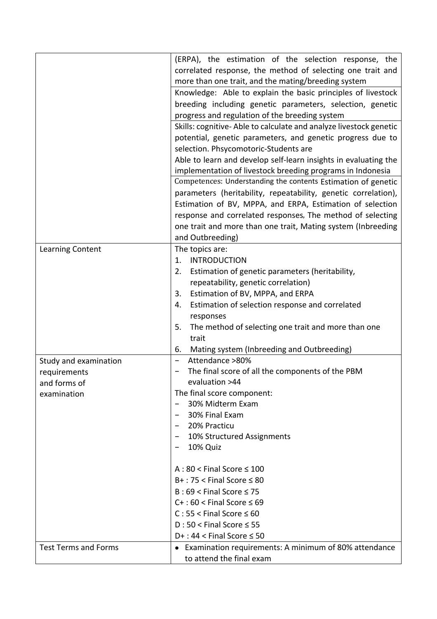|                                                                      | (ERPA), the estimation of the selection response, the<br>correlated response, the method of selecting one trait and<br>more than one trait, and the mating/breeding system<br>Knowledge: Able to explain the basic principles of livestock<br>breeding including genetic parameters, selection, genetic<br>progress and regulation of the breeding system<br>Skills: cognitive-Able to calculate and analyze livestock genetic<br>potential, genetic parameters, and genetic progress due to<br>selection. Phsycomotoric-Students are<br>Able to learn and develop self-learn insights in evaluating the<br>implementation of livestock breeding programs in Indonesia<br>Competences: Understanding the contents Estimation of genetic |
|----------------------------------------------------------------------|-----------------------------------------------------------------------------------------------------------------------------------------------------------------------------------------------------------------------------------------------------------------------------------------------------------------------------------------------------------------------------------------------------------------------------------------------------------------------------------------------------------------------------------------------------------------------------------------------------------------------------------------------------------------------------------------------------------------------------------------|
|                                                                      | parameters (heritability, repeatability, genetic correlation),<br>Estimation of BV, MPPA, and ERPA, Estimation of selection<br>response and correlated responses. The method of selecting<br>one trait and more than one trait, Mating system (Inbreeding<br>and Outbreeding)                                                                                                                                                                                                                                                                                                                                                                                                                                                           |
| Learning Content                                                     | The topics are:<br><b>INTRODUCTION</b><br>1.<br>Estimation of genetic parameters (heritability,<br>2.<br>repeatability, genetic correlation)<br>Estimation of BV, MPPA, and ERPA<br>3.<br>Estimation of selection response and correlated<br>4.<br>responses<br>The method of selecting one trait and more than one<br>5.<br>trait<br>Mating system (Inbreeding and Outbreeding)<br>6.                                                                                                                                                                                                                                                                                                                                                  |
| Study and examination<br>requirements<br>and forms of<br>examination | Attendance >80%<br>$\overline{\phantom{m}}$<br>The final score of all the components of the PBM<br>evaluation >44<br>The final score component:<br>30% Midterm Exam<br>30% Final Exam<br>$\qquad \qquad \blacksquare$<br>20% Practicu<br>10% Structured Assignments<br>$\overline{\phantom{m}}$<br>10% Quiz<br>$A:80 <$ Final Score $\leq 100$<br>$B+$ : 75 < Final Score $\leq 80$<br>$B:69 <$ Final Score $\leq 75$<br>$C+$ : 60 < Final Score $\leq 69$                                                                                                                                                                                                                                                                              |
| <b>Test Terms and Forms</b>                                          | $C: 55 <$ Final Score $\leq 60$<br>$D:50 <$ Final Score $\leq 55$<br>$D+$ : 44 < Final Score $\leq$ 50<br>• Examination requirements: A minimum of 80% attendance<br>to attend the final exam                                                                                                                                                                                                                                                                                                                                                                                                                                                                                                                                           |